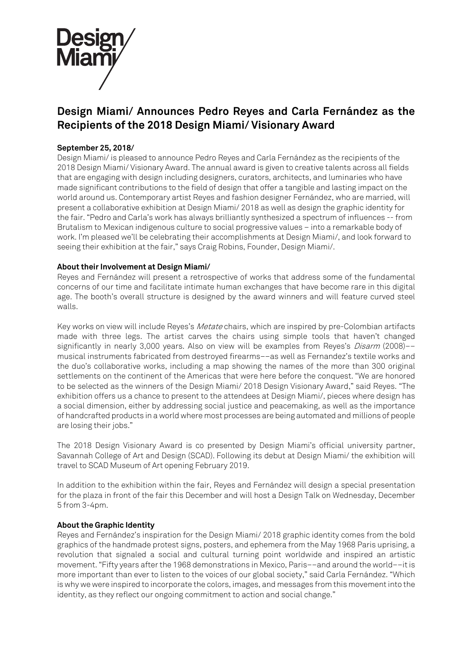

# **Design Miami/ Announces Pedro Reyes and Carla Fernández as the Recipients of the 2018 Design Miami/ Visionary Award**

## **September 25, 2018/**

Design Miami/ is pleased to announce Pedro Reyes and Carla Fernández as the recipients of the 2018 Design Miami/ Visionary Award. The annual award is given to creative talents across all fields that are engaging with design including designers, curators, architects, and luminaries who have made significant contributions to the field of design that offer a tangible and lasting impact on the world around us. Contemporary artist Reyes and fashion designer Fernández, who are married, will present a collaborative exhibition at Design Miami/ 2018 as well as design the graphic identity for the fair. "Pedro and Carla's work has always brilliantly synthesized a spectrum of influences -- from Brutalism to Mexican indigenous culture to social progressive values – into a remarkable body of work. I'm pleased we'll be celebrating their accomplishments at Design Miami/, and look forward to seeing their exhibition at the fair," says Craig Robins, Founder, Design Miami/.

## **About their Involvement at Design Miami/**

Reyes and Fernández will present a retrospective of works that address some of the fundamental concerns of our time and facilitate intimate human exchanges that have become rare in this digital age. The booth's overall structure is designed by the award winners and will feature curved steel walls.

Key works on view will include Reyes's Metate chairs, which are inspired by pre-Colombian artifacts made with three legs. The artist carves the chairs using simple tools that haven't changed significantly in nearly 3,000 years. Also on view will be examples from Reyes's *Disarm* (2008)-musical instruments fabricated from destroyed firearms––as well as Fernandez's textile works and the duo's collaborative works, including a map showing the names of the more than 300 original settlements on the continent of the Americas that were here before the conquest. "We are honored to be selected as the winners of the Design Miami/ 2018 Design Visionary Award," said Reyes. "The exhibition offers us a chance to present to the attendees at Design Miami/, pieces where design has a social dimension, either by addressing social justice and peacemaking, as well as the importance of handcrafted products in a world where most processes are being automated and millions of people are losing their jobs."

The 2018 Design Visionary Award is co presented by Design Miami's official university partner, Savannah College of Art and Design (SCAD). Following its debut at Design Miami/ the exhibition will travel to SCAD Museum of Art opening February 2019.

In addition to the exhibition within the fair, Reyes and Fernández will design a special presentation for the plaza in front of the fair this December and will host a Design Talk on Wednesday, December 5 from 3-4pm.

#### **About the Graphic Identity**

Reyes and Fernández's inspiration for the Design Miami/ 2018 graphic identity comes from the bold graphics of the handmade protest signs, posters, and ephemera from the May 1968 Paris uprising, a revolution that signaled a social and cultural turning point worldwide and inspired an artistic movement. "Fifty years after the 1968 demonstrations in Mexico, Paris––and around the world––it is more important than ever to listen to the voices of our global society," said Carla Fernández. "Which is why we were inspired to incorporate the colors, images, and messages from this movement into the identity, as they reflect our ongoing commitment to action and social change."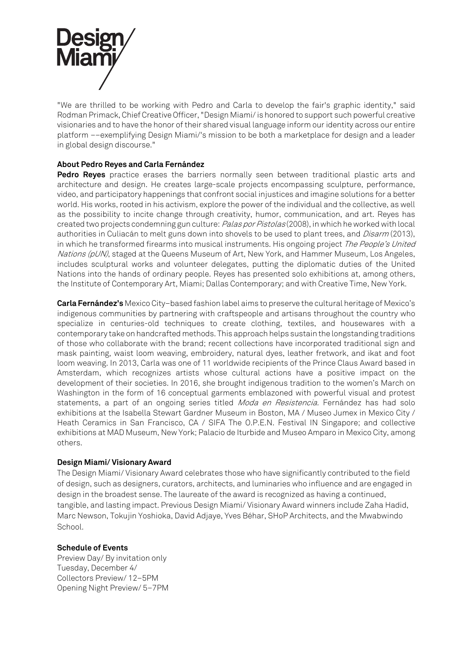

"We are thrilled to be working with Pedro and Carla to develop the fair's graphic identity," said Rodman Primack, Chief Creative Officer, "Design Miami/ is honored to support such powerful creative visionaries and to have the honor of their shared visual language inform our identity across our entire platform ––exemplifying Design Miami/'s mission to be both a marketplace for design and a leader in global design discourse."

## **About Pedro Reyes and Carla Fernández**

**Pedro Reyes** practice erases the barriers normally seen between traditional plastic arts and architecture and design. He creates large-scale projects encompassing sculpture, performance, video, and participatory happenings that confront social injustices and imagine solutions for a better world. His works, rooted in his activism, explore the power of the individual and the collective, as well as the possibility to incite change through creativity, humor, communication, and art. Reyes has created two projects condemning gun culture: Palas por Pistolas (2008), in which he worked with local authorities in Culiacán to melt guns down into shovels to be used to plant trees, and *Disarm* (2013), in which he transformed firearms into musical instruments. His ongoing project The People's United Nations (pUN), staged at the Queens Museum of Art, New York, and Hammer Museum, Los Angeles, includes sculptural works and volunteer delegates, putting the diplomatic duties of the United Nations into the hands of ordinary people. Reyes has presented solo exhibitions at, among others, the Institute of Contemporary Art, Miami; Dallas Contemporary; and with Creative Time, New York.

**Carla Fernández's** Mexico City–based fashion label aims to preserve the cultural heritage of Mexico's indigenous communities by partnering with craftspeople and artisans throughout the country who specialize in centuries-old techniques to create clothing, textiles, and housewares with a contemporary take on handcrafted methods. This approach helps sustain the longstanding traditions of those who collaborate with the brand; recent collections have incorporated traditional sign and mask painting, waist loom weaving, embroidery, natural dyes, leather fretwork, and ikat and foot loom weaving. In 2013, Carla was one of 11 worldwide recipients of the Prince Claus Award based in Amsterdam, which recognizes artists whose cultural actions have a positive impact on the development of their societies. In 2016, she brought indigenous tradition to the women's March on Washington in the form of 16 conceptual garments emblazoned with powerful visual and protest statements, a part of an ongoing series titled Moda en Resistencia. Fernández has had solo exhibitions at the Isabella Stewart Gardner Museum in Boston, MA / Museo Jumex in Mexico City / Heath Ceramics in San Francisco, CA / SIFA The O.P.E.N. Festival IN Singapore; and collective exhibitions at MAD Museum, New York; Palacio de Iturbide and Museo Amparo in Mexico City, among others.

#### **Design Miami/ Visionary Award**

The Design Miami/ Visionary Award celebrates those who have significantly contributed to the field of design, such as designers, curators, architects, and luminaries who influence and are engaged in design in the broadest sense. The laureate of the award is recognized as having a continued, tangible, and lasting impact. Previous Design Miami/ Visionary Award winners include Zaha Hadid, Marc Newson, Tokujin Yoshioka, David Adjaye, Yves Béhar, SHoP Architects, and the Mwabwindo School.

#### **Schedule of Events**

Preview Day/ By invitation only Tuesday, December 4/ Collectors Preview/ 12–5PM Opening Night Preview/ 5–7PM